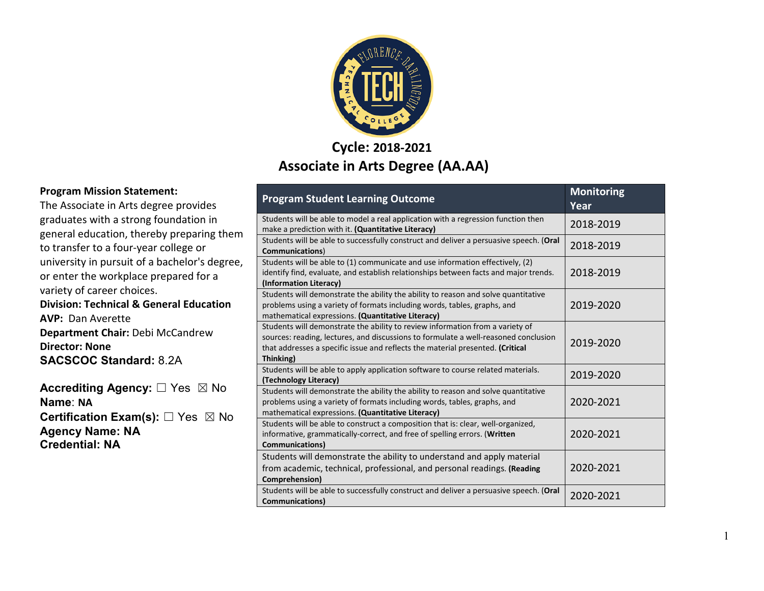

#### **Cycle: 2018-2021 Associate in Arts Degree (AA.AA)**

|    | <b>Program Student Learning Outcome</b>                                                                                                                                                                                                                             | <b>Monitoring</b><br>Year |
|----|---------------------------------------------------------------------------------------------------------------------------------------------------------------------------------------------------------------------------------------------------------------------|---------------------------|
| 9m | Students will be able to model a real application with a regression function then<br>make a prediction with it. (Quantitative Literacy)                                                                                                                             | 2018-2019                 |
|    | Students will be able to successfully construct and deliver a persuasive speech. (Oral<br><b>Communications</b> )                                                                                                                                                   | 2018-2019                 |
| e, | Students will be able to (1) communicate and use information effectively, (2)<br>identify find, evaluate, and establish relationships between facts and major trends.<br>(Information Literacy)                                                                     | 2018-2019                 |
|    | Students will demonstrate the ability the ability to reason and solve quantitative<br>problems using a variety of formats including words, tables, graphs, and<br>mathematical expressions. (Quantitative Literacy)                                                 | 2019-2020                 |
|    | Students will demonstrate the ability to review information from a variety of<br>sources: reading, lectures, and discussions to formulate a well-reasoned conclusion<br>that addresses a specific issue and reflects the material presented. (Critical<br>Thinking) | 2019-2020                 |
|    | Students will be able to apply application software to course related materials.<br>(Technology Literacy)                                                                                                                                                           | 2019-2020                 |
|    | Students will demonstrate the ability the ability to reason and solve quantitative<br>problems using a variety of formats including words, tables, graphs, and<br>mathematical expressions. (Quantitative Literacy)                                                 | 2020-2021                 |
|    | Students will be able to construct a composition that is: clear, well-organized,<br>informative, grammatically-correct, and free of spelling errors. (Written<br><b>Communications)</b>                                                                             | 2020-2021                 |
|    | Students will demonstrate the ability to understand and apply material<br>from academic, technical, professional, and personal readings. (Reading<br>Comprehension)                                                                                                 | 2020-2021                 |
|    | Students will be able to successfully construct and deliver a persuasive speech. (Oral<br><b>Communications</b> )                                                                                                                                                   | 2020-2021                 |

#### **Program Mission Statement:**

The Associate in Arts degree provides graduates with a strong foundation in general education, thereby preparing them to transfer to a four-year college or university in pursuit of a bachelor's degre or enter the workplace prepared for a variety of career choices. **Division: Technical & General Education AVP:** Dan Averette **Department Chair:** Debi McCandrew **Director: None SACSCOC Standard:** 8.2A

**Accrediting Agency:** ☐ Yes ☒ No **Name**: **NA Certification Exam(s):** □ Yes ⊠ No **Agency Name: NA Credential: NA**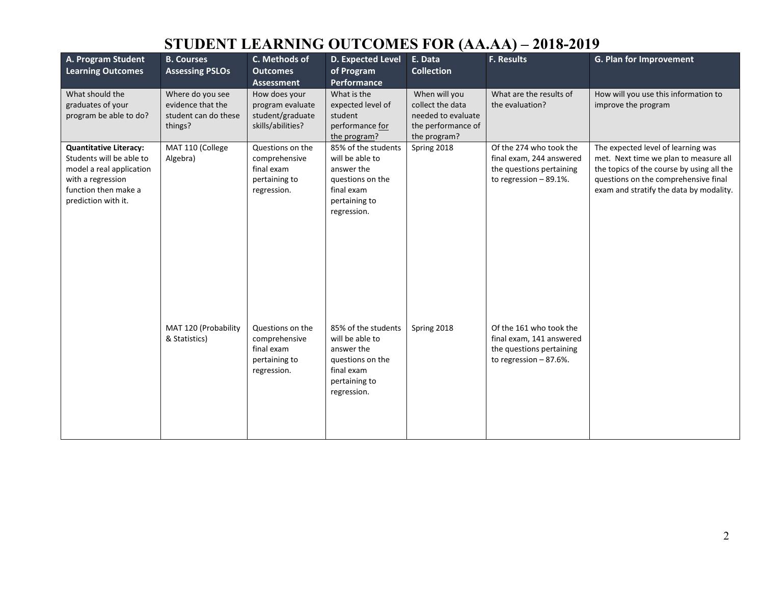| A. Program Student<br><b>Learning Outcomes</b>                                                                                                            | <b>B. Courses</b><br><b>Assessing PSLOs</b>                              | C. Methods of<br><b>Outcomes</b><br><b>Assessment</b>                           | D. Expected Level<br>of Program<br>Performance                                                                         | E. Data<br><b>Collection</b>                                                                  | F. Results                                                                                                   | G. Plan for Improvement                                                                                                                                                                                     |
|-----------------------------------------------------------------------------------------------------------------------------------------------------------|--------------------------------------------------------------------------|---------------------------------------------------------------------------------|------------------------------------------------------------------------------------------------------------------------|-----------------------------------------------------------------------------------------------|--------------------------------------------------------------------------------------------------------------|-------------------------------------------------------------------------------------------------------------------------------------------------------------------------------------------------------------|
| What should the<br>graduates of your<br>program be able to do?                                                                                            | Where do you see<br>evidence that the<br>student can do these<br>things? | How does your<br>program evaluate<br>student/graduate<br>skills/abilities?      | What is the<br>expected level of<br>student<br>performance for<br>the program?                                         | When will you<br>collect the data<br>needed to evaluate<br>the performance of<br>the program? | What are the results of<br>the evaluation?                                                                   | How will you use this information to<br>improve the program                                                                                                                                                 |
| <b>Quantitative Literacy:</b><br>Students will be able to<br>model a real application<br>with a regression<br>function then make a<br>prediction with it. | MAT 110 (College<br>Algebra)                                             | Questions on the<br>comprehensive<br>final exam<br>pertaining to<br>regression. | 85% of the students<br>will be able to<br>answer the<br>questions on the<br>final exam<br>pertaining to<br>regression. | Spring 2018                                                                                   | Of the 274 who took the<br>final exam, 244 answered<br>the questions pertaining<br>to regression $-89.1\%$ . | The expected level of learning was<br>met. Next time we plan to measure all<br>the topics of the course by using all the<br>questions on the comprehensive final<br>exam and stratify the data by modality. |
|                                                                                                                                                           | MAT 120 (Probability<br>& Statistics)                                    | Questions on the<br>comprehensive<br>final exam<br>pertaining to<br>regression. | 85% of the students<br>will be able to<br>answer the<br>questions on the<br>final exam<br>pertaining to<br>regression. | Spring 2018                                                                                   | Of the 161 who took the<br>final exam, 141 answered<br>the questions pertaining<br>to regression $-87.6\%$ . |                                                                                                                                                                                                             |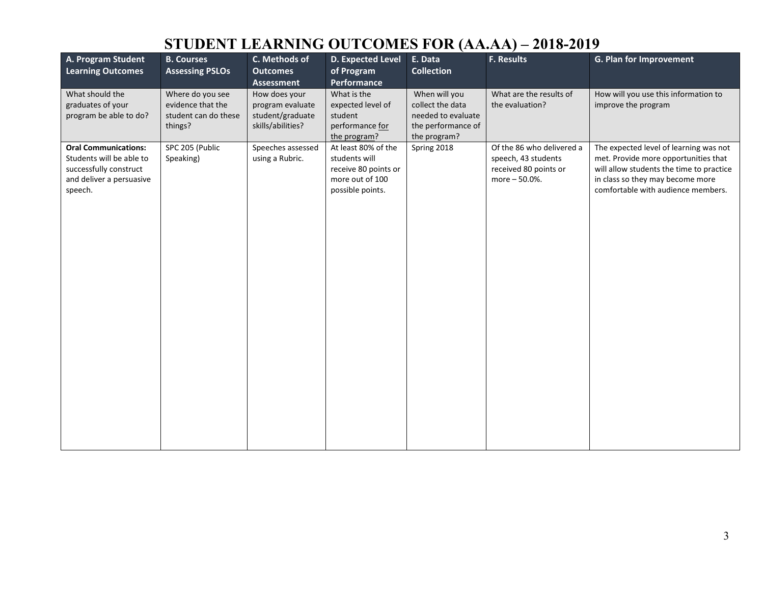| A. Program Student<br><b>Learning Outcomes</b>                                                                           | <b>B. Courses</b><br><b>Assessing PSLOs</b>                              | C. Methods of<br><b>Outcomes</b><br><b>Assessment</b>                      | D. Expected Level<br>of Program<br>Performance                                                      | E. Data<br><b>Collection</b>                                                                  | F. Results                                                                                 | G. Plan for Improvement                                                                                                                                                                              |
|--------------------------------------------------------------------------------------------------------------------------|--------------------------------------------------------------------------|----------------------------------------------------------------------------|-----------------------------------------------------------------------------------------------------|-----------------------------------------------------------------------------------------------|--------------------------------------------------------------------------------------------|------------------------------------------------------------------------------------------------------------------------------------------------------------------------------------------------------|
| What should the<br>graduates of your<br>program be able to do?                                                           | Where do you see<br>evidence that the<br>student can do these<br>things? | How does your<br>program evaluate<br>student/graduate<br>skills/abilities? | What is the<br>expected level of<br>student<br>performance for<br>the program?                      | When will you<br>collect the data<br>needed to evaluate<br>the performance of<br>the program? | What are the results of<br>the evaluation?                                                 | How will you use this information to<br>improve the program                                                                                                                                          |
| <b>Oral Communications:</b><br>Students will be able to<br>successfully construct<br>and deliver a persuasive<br>speech. | SPC 205 (Public<br>Speaking)                                             | Speeches assessed<br>using a Rubric.                                       | At least 80% of the<br>students will<br>receive 80 points or<br>more out of 100<br>possible points. | Spring 2018                                                                                   | Of the 86 who delivered a<br>speech, 43 students<br>received 80 points or<br>more - 50.0%. | The expected level of learning was not<br>met. Provide more opportunities that<br>will allow students the time to practice<br>in class so they may become more<br>comfortable with audience members. |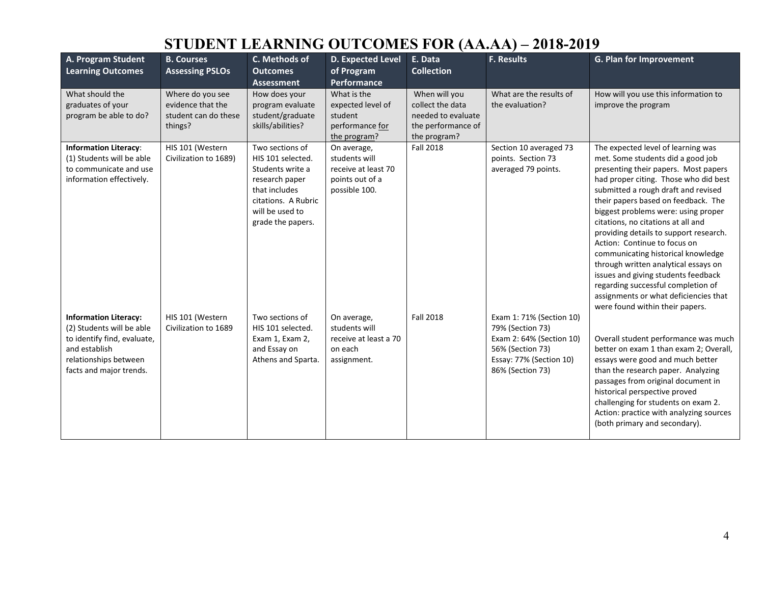| A. Program Student<br><b>Learning Outcomes</b>                                                                                                                | <b>B. Courses</b><br><b>Assessing PSLOs</b>                              | C. Methods of<br><b>Outcomes</b><br><b>Assessment</b>                                                                                                      | D. Expected Level<br>of Program<br>Performance                                          | E. Data<br><b>Collection</b>                                                                  | <b>F. Results</b>                                                                                                                           | <b>G. Plan for Improvement</b>                                                                                                                                                                                                                                                                                                                                                                                                                                                                                                                                                                                                       |
|---------------------------------------------------------------------------------------------------------------------------------------------------------------|--------------------------------------------------------------------------|------------------------------------------------------------------------------------------------------------------------------------------------------------|-----------------------------------------------------------------------------------------|-----------------------------------------------------------------------------------------------|---------------------------------------------------------------------------------------------------------------------------------------------|--------------------------------------------------------------------------------------------------------------------------------------------------------------------------------------------------------------------------------------------------------------------------------------------------------------------------------------------------------------------------------------------------------------------------------------------------------------------------------------------------------------------------------------------------------------------------------------------------------------------------------------|
| What should the<br>graduates of your<br>program be able to do?                                                                                                | Where do you see<br>evidence that the<br>student can do these<br>things? | How does your<br>program evaluate<br>student/graduate<br>skills/abilities?                                                                                 | What is the<br>expected level of<br>student<br>performance for<br>the program?          | When will you<br>collect the data<br>needed to evaluate<br>the performance of<br>the program? | What are the results of<br>the evaluation?                                                                                                  | How will you use this information to<br>improve the program                                                                                                                                                                                                                                                                                                                                                                                                                                                                                                                                                                          |
| <b>Information Literacy:</b><br>(1) Students will be able<br>to communicate and use<br>information effectively.                                               | HIS 101 (Western<br>Civilization to 1689)                                | Two sections of<br>HIS 101 selected.<br>Students write a<br>research paper<br>that includes<br>citations. A Rubric<br>will be used to<br>grade the papers. | On average,<br>students will<br>receive at least 70<br>points out of a<br>possible 100. | <b>Fall 2018</b>                                                                              | Section 10 averaged 73<br>points. Section 73<br>averaged 79 points.                                                                         | The expected level of learning was<br>met. Some students did a good job<br>presenting their papers. Most papers<br>had proper citing. Those who did best<br>submitted a rough draft and revised<br>their papers based on feedback. The<br>biggest problems were: using proper<br>citations, no citations at all and<br>providing details to support research.<br>Action: Continue to focus on<br>communicating historical knowledge<br>through written analytical essays on<br>issues and giving students feedback<br>regarding successful completion of<br>assignments or what deficiencies that<br>were found within their papers. |
| <b>Information Literacy:</b><br>(2) Students will be able<br>to identify find, evaluate,<br>and establish<br>relationships between<br>facts and major trends. | HIS 101 (Western<br>Civilization to 1689                                 | Two sections of<br>HIS 101 selected.<br>Exam 1, Exam 2,<br>and Essay on<br>Athens and Sparta.                                                              | On average,<br>students will<br>receive at least a 70<br>on each<br>assignment.         | <b>Fall 2018</b>                                                                              | Exam 1: 71% (Section 10)<br>79% (Section 73)<br>Exam 2: 64% (Section 10)<br>56% (Section 73)<br>Essay: 77% (Section 10)<br>86% (Section 73) | Overall student performance was much<br>better on exam 1 than exam 2; Overall,<br>essays were good and much better<br>than the research paper. Analyzing<br>passages from original document in<br>historical perspective proved<br>challenging for students on exam 2.<br>Action: practice with analyzing sources<br>(both primary and secondary).                                                                                                                                                                                                                                                                                   |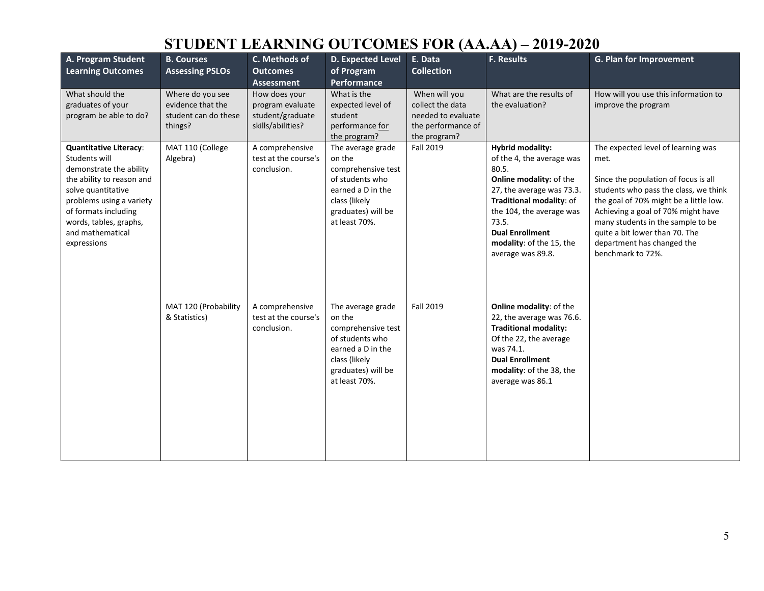| A. Program Student<br><b>Learning Outcomes</b>                                                                                                                                                                                                | <b>B. Courses</b><br><b>Assessing PSLOs</b>                              | C. Methods of<br><b>Outcomes</b><br><b>Assessment</b>                      | <b>D. Expected Level</b><br>of Program<br>Performance                                                                                             | E. Data<br><b>Collection</b>                                                                  | <b>F. Results</b>                                                                                                                                                                                                                                                 | G. Plan for Improvement                                                                                                                                                                                                                                                                                                               |
|-----------------------------------------------------------------------------------------------------------------------------------------------------------------------------------------------------------------------------------------------|--------------------------------------------------------------------------|----------------------------------------------------------------------------|---------------------------------------------------------------------------------------------------------------------------------------------------|-----------------------------------------------------------------------------------------------|-------------------------------------------------------------------------------------------------------------------------------------------------------------------------------------------------------------------------------------------------------------------|---------------------------------------------------------------------------------------------------------------------------------------------------------------------------------------------------------------------------------------------------------------------------------------------------------------------------------------|
| What should the<br>graduates of your<br>program be able to do?                                                                                                                                                                                | Where do you see<br>evidence that the<br>student can do these<br>things? | How does your<br>program evaluate<br>student/graduate<br>skills/abilities? | What is the<br>expected level of<br>student<br>performance for<br>the program?                                                                    | When will you<br>collect the data<br>needed to evaluate<br>the performance of<br>the program? | What are the results of<br>the evaluation?                                                                                                                                                                                                                        | How will you use this information to<br>improve the program                                                                                                                                                                                                                                                                           |
| <b>Quantitative Literacy:</b><br>Students will<br>demonstrate the ability<br>the ability to reason and<br>solve quantitative<br>problems using a variety<br>of formats including<br>words, tables, graphs,<br>and mathematical<br>expressions | MAT 110 (College<br>Algebra)                                             | A comprehensive<br>test at the course's<br>conclusion.                     | The average grade<br>on the<br>comprehensive test<br>of students who<br>earned a D in the<br>class (likely<br>graduates) will be<br>at least 70%. | <b>Fall 2019</b>                                                                              | <b>Hybrid modality:</b><br>of the 4, the average was<br>80.5.<br>Online modality: of the<br>27, the average was 73.3.<br>Traditional modality: of<br>the 104, the average was<br>73.5.<br><b>Dual Enrollment</b><br>modality: of the 15, the<br>average was 89.8. | The expected level of learning was<br>met.<br>Since the population of focus is all<br>students who pass the class, we think<br>the goal of 70% might be a little low.<br>Achieving a goal of 70% might have<br>many students in the sample to be<br>quite a bit lower than 70. The<br>department has changed the<br>benchmark to 72%. |
|                                                                                                                                                                                                                                               | MAT 120 (Probability<br>& Statistics)                                    | A comprehensive<br>test at the course's<br>conclusion.                     | The average grade<br>on the<br>comprehensive test<br>of students who<br>earned a D in the<br>class (likely<br>graduates) will be<br>at least 70%. | <b>Fall 2019</b>                                                                              | <b>Online modality: of the</b><br>22, the average was 76.6.<br><b>Traditional modality:</b><br>Of the 22, the average<br>was 74.1.<br><b>Dual Enrollment</b><br>modality: of the 38, the<br>average was 86.1                                                      |                                                                                                                                                                                                                                                                                                                                       |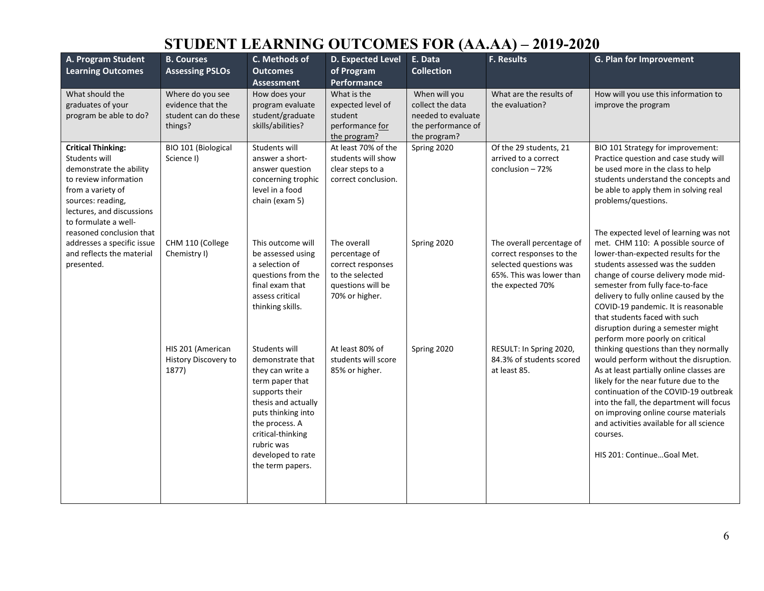| A. Program Student<br><b>Learning Outcomes</b>                                                                                                                                                | <b>B. Courses</b><br><b>Assessing PSLOs</b>                              | C. Methods of<br><b>Outcomes</b><br><b>Assessment</b>                                                                                                                                                                                 | D. Expected Level<br>of Program<br>Performance                                                              | E. Data<br><b>Collection</b>                                                                  | <b>F. Results</b>                                                                                                               | G. Plan for Improvement                                                                                                                                                                                                                                                                                                                                                                                                       |
|-----------------------------------------------------------------------------------------------------------------------------------------------------------------------------------------------|--------------------------------------------------------------------------|---------------------------------------------------------------------------------------------------------------------------------------------------------------------------------------------------------------------------------------|-------------------------------------------------------------------------------------------------------------|-----------------------------------------------------------------------------------------------|---------------------------------------------------------------------------------------------------------------------------------|-------------------------------------------------------------------------------------------------------------------------------------------------------------------------------------------------------------------------------------------------------------------------------------------------------------------------------------------------------------------------------------------------------------------------------|
| What should the<br>graduates of your<br>program be able to do?                                                                                                                                | Where do you see<br>evidence that the<br>student can do these<br>things? | How does your<br>program evaluate<br>student/graduate<br>skills/abilities?                                                                                                                                                            | What is the<br>expected level of<br>student<br>performance for<br>the program?                              | When will you<br>collect the data<br>needed to evaluate<br>the performance of<br>the program? | What are the results of<br>the evaluation?                                                                                      | How will you use this information to<br>improve the program                                                                                                                                                                                                                                                                                                                                                                   |
| <b>Critical Thinking:</b><br>Students will<br>demonstrate the ability<br>to review information<br>from a variety of<br>sources: reading,<br>lectures, and discussions<br>to formulate a well- | BIO 101 (Biological<br>Science I)                                        | Students will<br>answer a short-<br>answer question<br>concerning trophic<br>level in a food<br>chain (exam 5)                                                                                                                        | At least 70% of the<br>students will show<br>clear steps to a<br>correct conclusion.                        | Spring 2020                                                                                   | Of the 29 students, 21<br>arrived to a correct<br>conclusion $-72%$                                                             | BIO 101 Strategy for improvement:<br>Practice question and case study will<br>be used more in the class to help<br>students understand the concepts and<br>be able to apply them in solving real<br>problems/questions.                                                                                                                                                                                                       |
| reasoned conclusion that<br>addresses a specific issue<br>and reflects the material<br>presented.                                                                                             | CHM 110 (College<br>Chemistry I)                                         | This outcome will<br>be assessed using<br>a selection of<br>questions from the<br>final exam that<br>assess critical<br>thinking skills.                                                                                              | The overall<br>percentage of<br>correct responses<br>to the selected<br>questions will be<br>70% or higher. | Spring 2020                                                                                   | The overall percentage of<br>correct responses to the<br>selected questions was<br>65%. This was lower than<br>the expected 70% | The expected level of learning was not<br>met. CHM 110: A possible source of<br>lower-than-expected results for the<br>students assessed was the sudden<br>change of course delivery mode mid-<br>semester from fully face-to-face<br>delivery to fully online caused by the<br>COVID-19 pandemic. It is reasonable<br>that students faced with such<br>disruption during a semester might<br>perform more poorly on critical |
|                                                                                                                                                                                               | HIS 201 (American<br>History Discovery to<br>1877)                       | Students will<br>demonstrate that<br>they can write a<br>term paper that<br>supports their<br>thesis and actually<br>puts thinking into<br>the process. A<br>critical-thinking<br>rubric was<br>developed to rate<br>the term papers. | At least 80% of<br>students will score<br>85% or higher.                                                    | Spring 2020                                                                                   | RESULT: In Spring 2020,<br>84.3% of students scored<br>at least 85.                                                             | thinking questions than they normally<br>would perform without the disruption.<br>As at least partially online classes are<br>likely for the near future due to the<br>continuation of the COVID-19 outbreak<br>into the fall, the department will focus<br>on improving online course materials<br>and activities available for all science<br>courses.<br>HIS 201: ContinueGoal Met.                                        |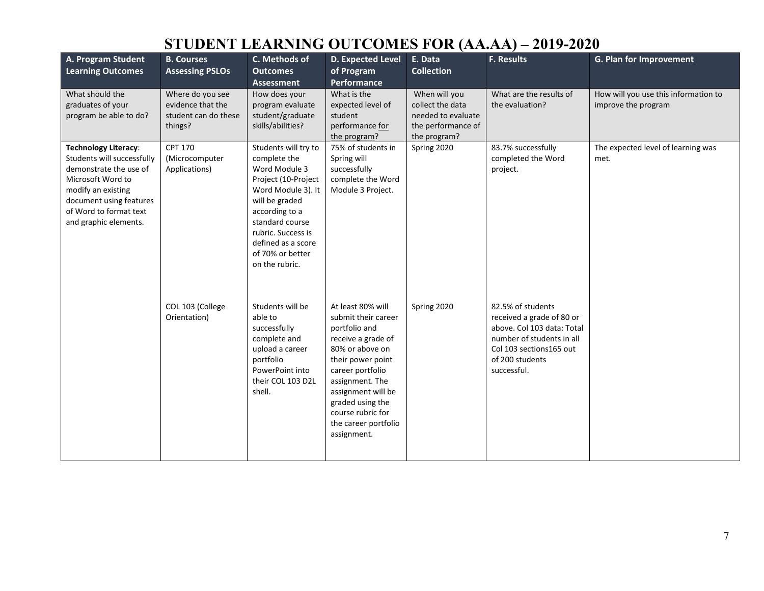| A. Program Student<br><b>Learning Outcomes</b>                                                                                                                                                               | <b>B. Courses</b><br><b>Assessing PSLOs</b>                              | C. Methods of<br><b>Outcomes</b><br><b>Assessment</b>                                                                                                                                                                                       | D. Expected Level<br>of Program<br><b>Performance</b>                                                                                                                                                                                                                | E. Data<br><b>Collection</b>                                                                  | F. Results                                                                                                                                                              | G. Plan for Improvement                                     |
|--------------------------------------------------------------------------------------------------------------------------------------------------------------------------------------------------------------|--------------------------------------------------------------------------|---------------------------------------------------------------------------------------------------------------------------------------------------------------------------------------------------------------------------------------------|----------------------------------------------------------------------------------------------------------------------------------------------------------------------------------------------------------------------------------------------------------------------|-----------------------------------------------------------------------------------------------|-------------------------------------------------------------------------------------------------------------------------------------------------------------------------|-------------------------------------------------------------|
| What should the<br>graduates of your<br>program be able to do?                                                                                                                                               | Where do you see<br>evidence that the<br>student can do these<br>things? | How does your<br>program evaluate<br>student/graduate<br>skills/abilities?                                                                                                                                                                  | What is the<br>expected level of<br>student<br>performance for<br>the program?                                                                                                                                                                                       | When will you<br>collect the data<br>needed to evaluate<br>the performance of<br>the program? | What are the results of<br>the evaluation?                                                                                                                              | How will you use this information to<br>improve the program |
| <b>Technology Literacy:</b><br>Students will successfully<br>demonstrate the use of<br>Microsoft Word to<br>modify an existing<br>document using features<br>of Word to format text<br>and graphic elements. | <b>CPT 170</b><br>(Microcomputer<br>Applications)                        | Students will try to<br>complete the<br>Word Module 3<br>Project (10-Project<br>Word Module 3). It<br>will be graded<br>according to a<br>standard course<br>rubric. Success is<br>defined as a score<br>of 70% or better<br>on the rubric. | 75% of students in<br>Spring will<br>successfully<br>complete the Word<br>Module 3 Project.                                                                                                                                                                          | Spring 2020                                                                                   | 83.7% successfully<br>completed the Word<br>project.                                                                                                                    | The expected level of learning was<br>met.                  |
|                                                                                                                                                                                                              | COL 103 (College<br>Orientation)                                         | Students will be<br>able to<br>successfully<br>complete and<br>upload a career<br>portfolio<br>PowerPoint into<br>their COL 103 D2L<br>shell.                                                                                               | At least 80% will<br>submit their career<br>portfolio and<br>receive a grade of<br>80% or above on<br>their power point<br>career portfolio<br>assignment. The<br>assignment will be<br>graded using the<br>course rubric for<br>the career portfolio<br>assignment. | Spring 2020                                                                                   | 82.5% of students<br>received a grade of 80 or<br>above. Col 103 data: Total<br>number of students in all<br>Col 103 sections 165 out<br>of 200 students<br>successful. |                                                             |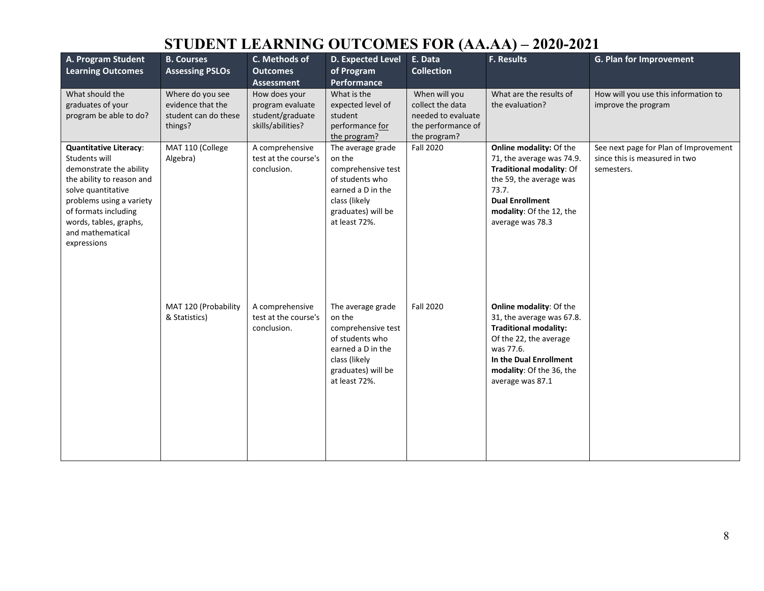| A. Program Student<br><b>Learning Outcomes</b>                                                                                                                                                                                                | <b>B. Courses</b><br><b>Assessing PSLOs</b>                              | C. Methods of<br><b>Outcomes</b><br><b>Assessment</b>                      | <b>D. Expected Level</b><br>of Program<br>Performance                                                                                             | E. Data<br><b>Collection</b>                                                                  | <b>F. Results</b>                                                                                                                                                                                     | G. Plan for Improvement                                                              |
|-----------------------------------------------------------------------------------------------------------------------------------------------------------------------------------------------------------------------------------------------|--------------------------------------------------------------------------|----------------------------------------------------------------------------|---------------------------------------------------------------------------------------------------------------------------------------------------|-----------------------------------------------------------------------------------------------|-------------------------------------------------------------------------------------------------------------------------------------------------------------------------------------------------------|--------------------------------------------------------------------------------------|
| What should the<br>graduates of your<br>program be able to do?                                                                                                                                                                                | Where do you see<br>evidence that the<br>student can do these<br>things? | How does your<br>program evaluate<br>student/graduate<br>skills/abilities? | What is the<br>expected level of<br>student<br>performance for<br>the program?                                                                    | When will you<br>collect the data<br>needed to evaluate<br>the performance of<br>the program? | What are the results of<br>the evaluation?                                                                                                                                                            | How will you use this information to<br>improve the program                          |
| <b>Quantitative Literacy:</b><br>Students will<br>demonstrate the ability<br>the ability to reason and<br>solve quantitative<br>problems using a variety<br>of formats including<br>words, tables, graphs,<br>and mathematical<br>expressions | MAT 110 (College<br>Algebra)                                             | A comprehensive<br>test at the course's<br>conclusion.                     | The average grade<br>on the<br>comprehensive test<br>of students who<br>earned a D in the<br>class (likely<br>graduates) will be<br>at least 72%. | Fall 2020                                                                                     | Online modality: Of the<br>71, the average was 74.9.<br>Traditional modality: Of<br>the 59, the average was<br>73.7.<br><b>Dual Enrollment</b><br>modality: Of the 12, the<br>average was 78.3        | See next page for Plan of Improvement<br>since this is measured in two<br>semesters. |
|                                                                                                                                                                                                                                               | MAT 120 (Probability<br>& Statistics)                                    | A comprehensive<br>test at the course's<br>conclusion.                     | The average grade<br>on the<br>comprehensive test<br>of students who<br>earned a D in the<br>class (likely<br>graduates) will be<br>at least 72%. | <b>Fall 2020</b>                                                                              | Online modality: Of the<br>31, the average was 67.8.<br><b>Traditional modality:</b><br>Of the 22, the average<br>was 77.6.<br>In the Dual Enrollment<br>modality: Of the 36, the<br>average was 87.1 |                                                                                      |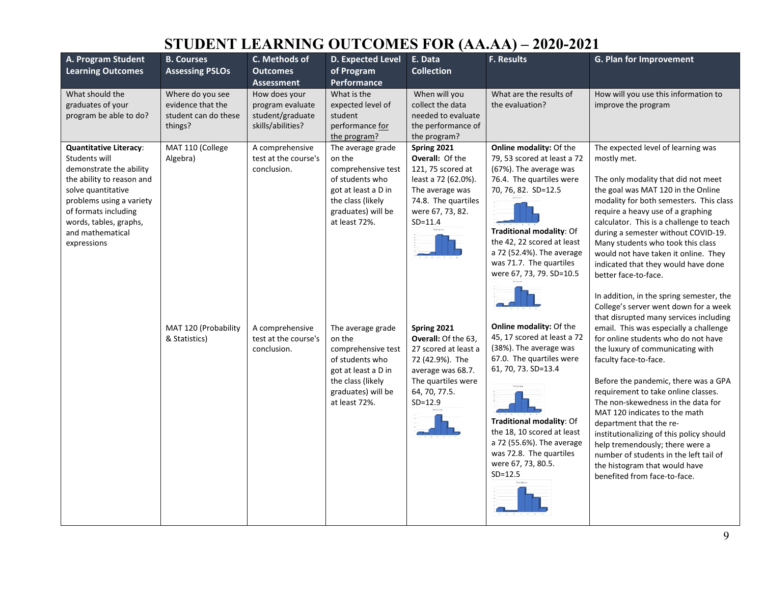| A. Program Student                                                                                                                                                                                                                            | <b>B. Courses</b>                                                        | C. Methods of                                                              | D. Expected Level                                                                                                                                                            | E. Data                                                                                                                                                                       | <b>F. Results</b>                                                                                                                                                                                                                                                                                            | G. Plan for Improvement                                                                                                                                                                                                                                                                                                                                                                                                                                                                                                                                                                                                |
|-----------------------------------------------------------------------------------------------------------------------------------------------------------------------------------------------------------------------------------------------|--------------------------------------------------------------------------|----------------------------------------------------------------------------|------------------------------------------------------------------------------------------------------------------------------------------------------------------------------|-------------------------------------------------------------------------------------------------------------------------------------------------------------------------------|--------------------------------------------------------------------------------------------------------------------------------------------------------------------------------------------------------------------------------------------------------------------------------------------------------------|------------------------------------------------------------------------------------------------------------------------------------------------------------------------------------------------------------------------------------------------------------------------------------------------------------------------------------------------------------------------------------------------------------------------------------------------------------------------------------------------------------------------------------------------------------------------------------------------------------------------|
| <b>Learning Outcomes</b>                                                                                                                                                                                                                      | <b>Assessing PSLOs</b>                                                   | <b>Outcomes</b><br><b>Assessment</b>                                       | of Program<br>Performance                                                                                                                                                    | <b>Collection</b>                                                                                                                                                             |                                                                                                                                                                                                                                                                                                              |                                                                                                                                                                                                                                                                                                                                                                                                                                                                                                                                                                                                                        |
| What should the<br>graduates of your<br>program be able to do?                                                                                                                                                                                | Where do you see<br>evidence that the<br>student can do these<br>things? | How does your<br>program evaluate<br>student/graduate<br>skills/abilities? | What is the<br>expected level of<br>student<br>performance for<br>the program?                                                                                               | When will you<br>collect the data<br>needed to evaluate<br>the performance of<br>the program?                                                                                 | What are the results of<br>the evaluation?                                                                                                                                                                                                                                                                   | How will you use this information to<br>improve the program                                                                                                                                                                                                                                                                                                                                                                                                                                                                                                                                                            |
| <b>Quantitative Literacy:</b><br>Students will<br>demonstrate the ability<br>the ability to reason and<br>solve quantitative<br>problems using a variety<br>of formats including<br>words, tables, graphs,<br>and mathematical<br>expressions | MAT 110 (College<br>Algebra)<br>MAT 120 (Probability                     | A comprehensive<br>test at the course's<br>conclusion.<br>A comprehensive  | The average grade<br>on the<br>comprehensive test<br>of students who<br>got at least a D in<br>the class (likely<br>graduates) will be<br>at least 72%.<br>The average grade | Spring 2021<br><b>Overall: Of the</b><br>121, 75 scored at<br>least a 72 (62.0%).<br>The average was<br>74.8. The quartiles<br>were 67, 73, 82.<br>$SD = 11.4$<br>Spring 2021 | Online modality: Of the<br>79, 53 scored at least a 72<br>(67%). The average was<br>76.4. The quartiles were<br>70, 76, 82. SD=12.5<br>Traditional modality: Of<br>the 42, 22 scored at least<br>a 72 (52.4%). The average<br>was 71.7. The quartiles<br>were 67, 73, 79. SD=10.5<br>Online modality: Of the | The expected level of learning was<br>mostly met.<br>The only modality that did not meet<br>the goal was MAT 120 in the Online<br>modality for both semesters. This class<br>require a heavy use of a graphing<br>calculator. This is a challenge to teach<br>during a semester without COVID-19.<br>Many students who took this class<br>would not have taken it online. They<br>indicated that they would have done<br>better face-to-face.<br>In addition, in the spring semester, the<br>College's server went down for a week<br>that disrupted many services including<br>email. This was especially a challenge |
|                                                                                                                                                                                                                                               | & Statistics)                                                            | test at the course's<br>conclusion.                                        | on the<br>comprehensive test<br>of students who<br>got at least a D in<br>the class (likely<br>graduates) will be<br>at least 72%.                                           | Overall: Of the 63,<br>27 scored at least a<br>72 (42.9%). The<br>average was 68.7.<br>The quartiles were<br>64, 70, 77.5.<br>$SD = 12.9$                                     | 45, 17 scored at least a 72<br>(38%). The average was<br>67.0. The quartiles were<br>61, 70, 73. SD=13.4<br>Traditional modality: Of<br>the 18, 10 scored at least<br>a 72 (55.6%). The average<br>was 72.8. The quartiles<br>were 67, 73, 80.5.<br>$SD = 12.5$                                              | for online students who do not have<br>the luxury of communicating with<br>faculty face-to-face.<br>Before the pandemic, there was a GPA<br>requirement to take online classes.<br>The non-skewedness in the data for<br>MAT 120 indicates to the math<br>department that the re-<br>institutionalizing of this policy should<br>help tremendously; there were a<br>number of students in the left tail of<br>the histogram that would have<br>benefited from face-to-face.                                                                                                                                            |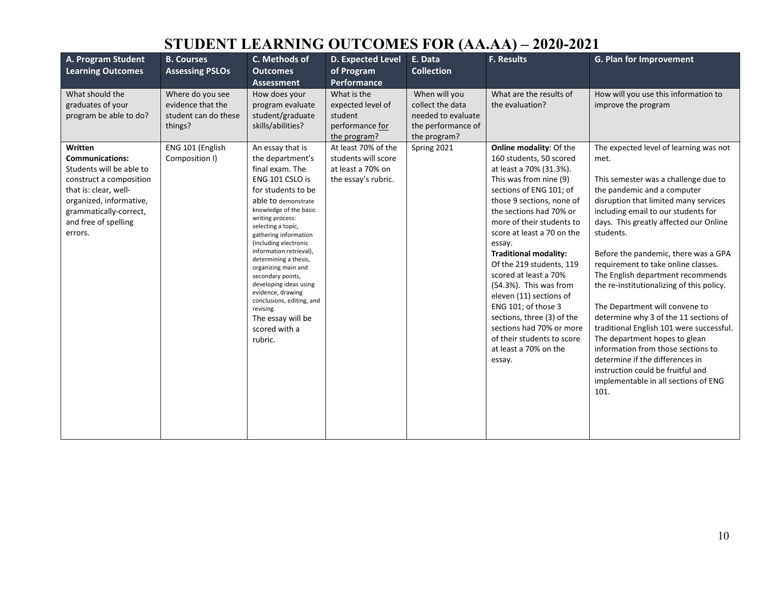| A. Program Student<br><b>Learning Outcomes</b>                                                                                                                                                                                                                              | <b>B. Courses</b><br><b>Assessing PSLOs</b>                                                                    | C. Methods of<br><b>Outcomes</b>                                                                                                                                                                                                                                                                                                                                                                                                                                                                                                                                                           | D. Expected Level<br>of Program                                                                                                                                                         | E. Data<br><b>Collection</b>                                                                                 | <b>F. Results</b>                                                                                                                                                                                                                                                                                                                                                                                                                                                                                                                                                      | <b>G. Plan for Improvement</b>                                                                                                                                                                                                                                                                                                                                                                                                                                                                                                                                                                                                                       |
|-----------------------------------------------------------------------------------------------------------------------------------------------------------------------------------------------------------------------------------------------------------------------------|----------------------------------------------------------------------------------------------------------------|--------------------------------------------------------------------------------------------------------------------------------------------------------------------------------------------------------------------------------------------------------------------------------------------------------------------------------------------------------------------------------------------------------------------------------------------------------------------------------------------------------------------------------------------------------------------------------------------|-----------------------------------------------------------------------------------------------------------------------------------------------------------------------------------------|--------------------------------------------------------------------------------------------------------------|------------------------------------------------------------------------------------------------------------------------------------------------------------------------------------------------------------------------------------------------------------------------------------------------------------------------------------------------------------------------------------------------------------------------------------------------------------------------------------------------------------------------------------------------------------------------|------------------------------------------------------------------------------------------------------------------------------------------------------------------------------------------------------------------------------------------------------------------------------------------------------------------------------------------------------------------------------------------------------------------------------------------------------------------------------------------------------------------------------------------------------------------------------------------------------------------------------------------------------|
| What should the<br>graduates of your<br>program be able to do?<br>Written<br><b>Communications:</b><br>Students will be able to<br>construct a composition<br>that is: clear, well-<br>organized, informative,<br>grammatically-correct,<br>and free of spelling<br>errors. | Where do you see<br>evidence that the<br>student can do these<br>things?<br>ENG 101 (English<br>Composition I) | <b>Assessment</b><br>How does your<br>program evaluate<br>student/graduate<br>skills/abilities?<br>An essay that is<br>the department's<br>final exam. The<br>ENG 101 CSLO is<br>for students to be<br>able to demonstrate<br>knowledge of the basic<br>writing process:<br>selecting a topic,<br>gathering information<br>(including electronic<br>information retrieval),<br>determining a thesis,<br>organizing main and<br>secondary points,<br>developing ideas using<br>evidence, drawing<br>conclusions, editing, and<br>revising.<br>The essay will be<br>scored with a<br>rubric. | Performance<br>What is the<br>expected level of<br>student<br>performance for<br>the program?<br>At least 70% of the<br>students will score<br>at least a 70% on<br>the essay's rubric. | When will you<br>collect the data<br>needed to evaluate<br>the performance of<br>the program?<br>Spring 2021 | What are the results of<br>the evaluation?<br>Online modality: Of the<br>160 students, 50 scored<br>at least a 70% (31.3%).<br>This was from nine (9)<br>sections of ENG 101; of<br>those 9 sections, none of<br>the sections had 70% or<br>more of their students to<br>score at least a 70 on the<br>essay.<br><b>Traditional modality:</b><br>Of the 219 students, 119<br>scored at least a 70%<br>(54.3%). This was from<br>eleven (11) sections of<br>ENG 101; of those 3<br>sections, three (3) of the<br>sections had 70% or more<br>of their students to score | How will you use this information to<br>improve the program<br>The expected level of learning was not<br>met.<br>This semester was a challenge due to<br>the pandemic and a computer<br>disruption that limited many services<br>including email to our students for<br>days. This greatly affected our Online<br>students.<br>Before the pandemic, there was a GPA<br>requirement to take online classes.<br>The English department recommends<br>the re-institutionalizing of this policy.<br>The Department will convene to<br>determine why 3 of the 11 sections of<br>traditional English 101 were successful.<br>The department hopes to glean |
|                                                                                                                                                                                                                                                                             |                                                                                                                |                                                                                                                                                                                                                                                                                                                                                                                                                                                                                                                                                                                            |                                                                                                                                                                                         |                                                                                                              | at least a 70% on the<br>essay.                                                                                                                                                                                                                                                                                                                                                                                                                                                                                                                                        | information from those sections to<br>determine if the differences in<br>instruction could be fruitful and<br>implementable in all sections of ENG<br>101.                                                                                                                                                                                                                                                                                                                                                                                                                                                                                           |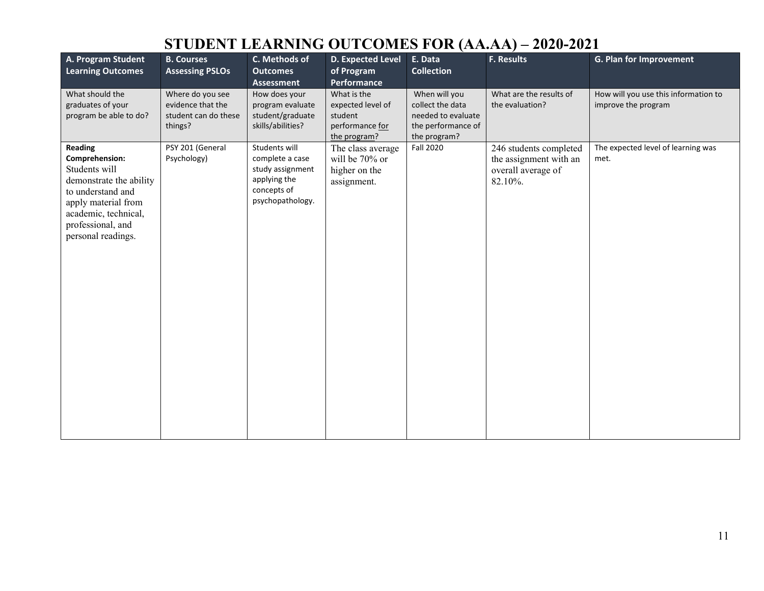| A. Program Student<br><b>Learning Outcomes</b>                                                                                                                                       | <b>B. Courses</b><br><b>Assessing PSLOs</b>                              | C. Methods of<br><b>Outcomes</b><br><b>Assessment</b>                                                   | D. Expected Level<br>of Program<br>Performance                                 | E. Data<br><b>Collection</b>                                                                  | <b>F. Results</b>                                                                 | G. Plan for Improvement                                     |
|--------------------------------------------------------------------------------------------------------------------------------------------------------------------------------------|--------------------------------------------------------------------------|---------------------------------------------------------------------------------------------------------|--------------------------------------------------------------------------------|-----------------------------------------------------------------------------------------------|-----------------------------------------------------------------------------------|-------------------------------------------------------------|
| What should the<br>graduates of your<br>program be able to do?                                                                                                                       | Where do you see<br>evidence that the<br>student can do these<br>things? | How does your<br>program evaluate<br>student/graduate<br>skills/abilities?                              | What is the<br>expected level of<br>student<br>performance for<br>the program? | When will you<br>collect the data<br>needed to evaluate<br>the performance of<br>the program? | What are the results of<br>the evaluation?                                        | How will you use this information to<br>improve the program |
| Reading<br>Comprehension:<br>Students will<br>demonstrate the ability<br>to understand and<br>apply material from<br>academic, technical,<br>professional, and<br>personal readings. | PSY 201 (General<br>Psychology)                                          | Students will<br>complete a case<br>study assignment<br>applying the<br>concepts of<br>psychopathology. | The class average<br>will be 70% or<br>higher on the<br>assignment.            | <b>Fall 2020</b>                                                                              | 246 students completed<br>the assignment with an<br>overall average of<br>82.10%. | The expected level of learning was<br>met.                  |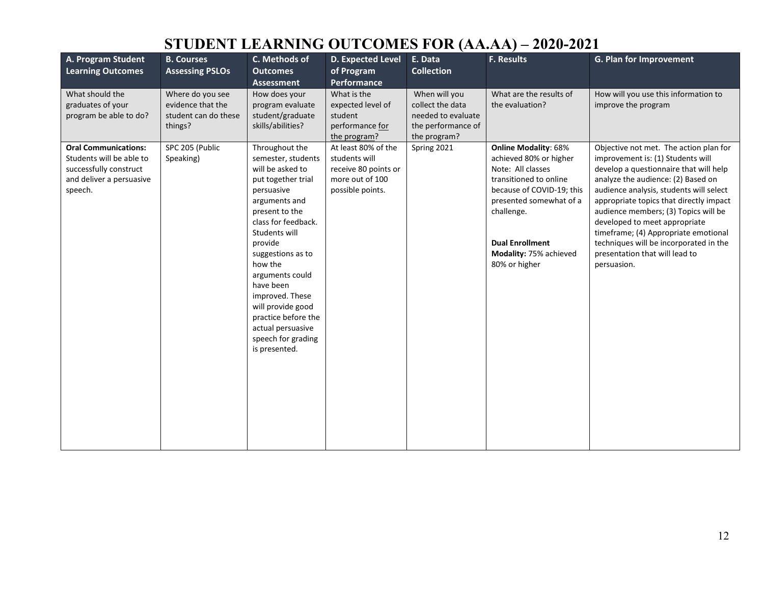| A. Program Student<br><b>Learning Outcomes</b>                                                                           | <b>B. Courses</b><br><b>Assessing PSLOs</b>                              | C. Methods of<br><b>Outcomes</b><br><b>Assessment</b>                                                                                                                                                                                                                                                                                                                         | D. Expected Level<br>of Program<br><b>Performance</b>                                               | E. Data<br><b>Collection</b>                                                                  | <b>F. Results</b>                                                                                                                                                                                                                               | G. Plan for Improvement                                                                                                                                                                                                                                                                                                                                                                                                                                       |
|--------------------------------------------------------------------------------------------------------------------------|--------------------------------------------------------------------------|-------------------------------------------------------------------------------------------------------------------------------------------------------------------------------------------------------------------------------------------------------------------------------------------------------------------------------------------------------------------------------|-----------------------------------------------------------------------------------------------------|-----------------------------------------------------------------------------------------------|-------------------------------------------------------------------------------------------------------------------------------------------------------------------------------------------------------------------------------------------------|---------------------------------------------------------------------------------------------------------------------------------------------------------------------------------------------------------------------------------------------------------------------------------------------------------------------------------------------------------------------------------------------------------------------------------------------------------------|
| What should the<br>graduates of your<br>program be able to do?                                                           | Where do you see<br>evidence that the<br>student can do these<br>things? | How does your<br>program evaluate<br>student/graduate<br>skills/abilities?                                                                                                                                                                                                                                                                                                    | What is the<br>expected level of<br>student<br>performance for<br>the program?                      | When will you<br>collect the data<br>needed to evaluate<br>the performance of<br>the program? | What are the results of<br>the evaluation?                                                                                                                                                                                                      | How will you use this information to<br>improve the program                                                                                                                                                                                                                                                                                                                                                                                                   |
| <b>Oral Communications:</b><br>Students will be able to<br>successfully construct<br>and deliver a persuasive<br>speech. | SPC 205 (Public<br>Speaking)                                             | Throughout the<br>semester, students<br>will be asked to<br>put together trial<br>persuasive<br>arguments and<br>present to the<br>class for feedback.<br>Students will<br>provide<br>suggestions as to<br>how the<br>arguments could<br>have been<br>improved. These<br>will provide good<br>practice before the<br>actual persuasive<br>speech for grading<br>is presented. | At least 80% of the<br>students will<br>receive 80 points or<br>more out of 100<br>possible points. | Spring 2021                                                                                   | <b>Online Modality: 68%</b><br>achieved 80% or higher<br>Note: All classes<br>transitioned to online<br>because of COVID-19; this<br>presented somewhat of a<br>challenge.<br><b>Dual Enrollment</b><br>Modality: 75% achieved<br>80% or higher | Objective not met. The action plan for<br>improvement is: (1) Students will<br>develop a questionnaire that will help<br>analyze the audience: (2) Based on<br>audience analysis, students will select<br>appropriate topics that directly impact<br>audience members; (3) Topics will be<br>developed to meet appropriate<br>timeframe; (4) Appropriate emotional<br>techniques will be incorporated in the<br>presentation that will lead to<br>persuasion. |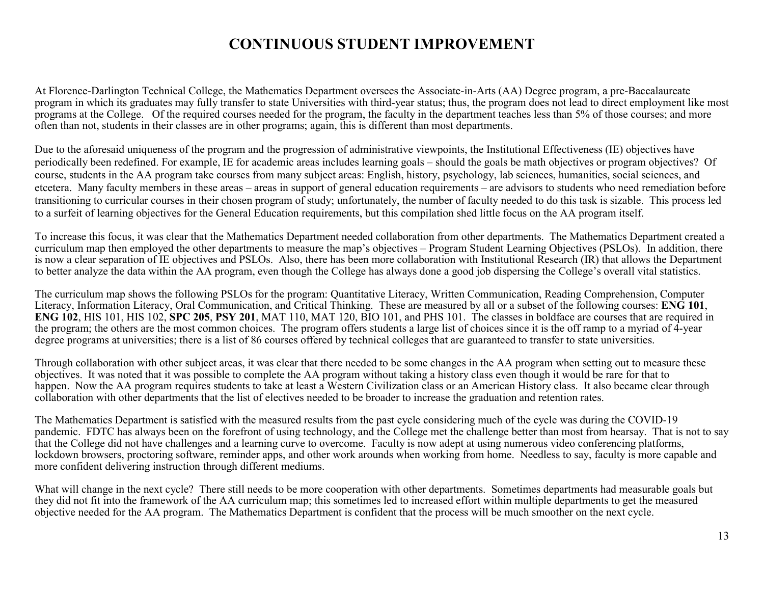#### **CONTINUOUS STUDENT IMPROVEMENT**

At Florence-Darlington Technical College, the Mathematics Department oversees the Associate-in-Arts (AA) Degree program, a pre-Baccalaureate program in which its graduates may fully transfer to state Universities with third-year status; thus, the program does not lead to direct employment like most programs at the College. Of the required courses needed for the program, the faculty in the department teaches less than 5% of those courses; and more often than not, students in their classes are in other programs; again, this is different than most departments.

Due to the aforesaid uniqueness of the program and the progression of administrative viewpoints, the Institutional Effectiveness (IE) objectives have periodically been redefined. For example, IE for academic areas includes learning goals – should the goals be math objectives or program objectives? Of course, students in the AA program take courses from many subject areas: English, history, psychology, lab sciences, humanities, social sciences, and etcetera. Many faculty members in these areas – areas in support of general education requirements – are advisors to students who need remediation before transitioning to curricular courses in their chosen program of study; unfortunately, the number of faculty needed to do this task is sizable. This process led to a surfeit of learning objectives for the General Education requirements, but this compilation shed little focus on the AA program itself.

To increase this focus, it was clear that the Mathematics Department needed collaboration from other departments. The Mathematics Department created a curriculum map then employed the other departments to measure the map's objectives – Program Student Learning Objectives (PSLOs). In addition, there is now a clear separation of IE objectives and PSLOs. Also, there has been more collaboration with Institutional Research (IR) that allows the Department to better analyze the data within the AA program, even though the College has always done a good job dispersing the College's overall vital statistics.

The curriculum map shows the following PSLOs for the program: Quantitative Literacy, Written Communication, Reading Comprehension, Computer Literacy, Information Literacy, Oral Communication, and Critical Thinking. These are measured by all or a subset of the following courses: **ENG 101**, **ENG 102**, HIS 101, HIS 102, **SPC 205**, **PSY 201**, MAT 110, MAT 120, BIO 101, and PHS 101. The classes in boldface are courses that are required in the program; the others are the most common choices. The program offers students a large list of choices since it is the off ramp to a myriad of 4-year degree programs at universities; there is a list of 86 courses offered by technical colleges that are guaranteed to transfer to state universities.

Through collaboration with other subject areas, it was clear that there needed to be some changes in the AA program when setting out to measure these objectives. It was noted that it was possible to complete the AA program without taking a history class even though it would be rare for that to happen. Now the AA program requires students to take at least a Western Civilization class or an American History class. It also became clear through collaboration with other departments that the list of electives needed to be broader to increase the graduation and retention rates.

The Mathematics Department is satisfied with the measured results from the past cycle considering much of the cycle was during the COVID-19 pandemic. FDTC has always been on the forefront of using technology, and the College met the challenge better than most from hearsay. That is not to say that the College did not have challenges and a learning curve to overcome. Faculty is now adept at using numerous video conferencing platforms, lockdown browsers, proctoring software, reminder apps, and other work arounds when working from home. Needless to say, faculty is more capable and more confident delivering instruction through different mediums.

What will change in the next cycle? There still needs to be more cooperation with other departments. Sometimes departments had measurable goals but they did not fit into the framework of the AA curriculum map; this sometimes led to increased effort within multiple departments to get the measured objective needed for the AA program. The Mathematics Department is confident that the process will be much smoother on the next cycle.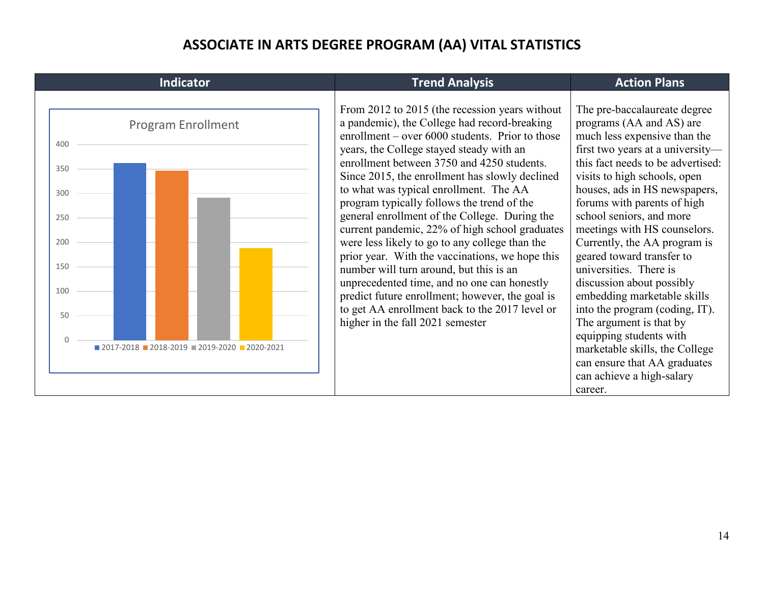# **ASSOCIATE IN ARTS DEGREE PROGRAM (AA) VITAL STATISTICS**

| Indicator                                                                                                                     | <b>Trend Analysis</b>                                                                                                                                                                                                                                                                                                                                                                                                                                                                                                                                                                                                                                                                                                                                                                                                            | <b>Action Plans</b>                                                                                                                                                                                                                                                                                                                                                                                                                                                                                                                                                                                                                                                                |
|-------------------------------------------------------------------------------------------------------------------------------|----------------------------------------------------------------------------------------------------------------------------------------------------------------------------------------------------------------------------------------------------------------------------------------------------------------------------------------------------------------------------------------------------------------------------------------------------------------------------------------------------------------------------------------------------------------------------------------------------------------------------------------------------------------------------------------------------------------------------------------------------------------------------------------------------------------------------------|------------------------------------------------------------------------------------------------------------------------------------------------------------------------------------------------------------------------------------------------------------------------------------------------------------------------------------------------------------------------------------------------------------------------------------------------------------------------------------------------------------------------------------------------------------------------------------------------------------------------------------------------------------------------------------|
| <b>Program Enrollment</b><br>400<br>350<br>300<br>250<br>200<br>150<br>100<br>50<br>$2017-2018$ 2018-2019 2019-2020 2020-2021 | From 2012 to 2015 (the recession years without<br>a pandemic), the College had record-breaking<br>enrollment – over 6000 students. Prior to those<br>years, the College stayed steady with an<br>enrollment between 3750 and 4250 students.<br>Since 2015, the enrollment has slowly declined<br>to what was typical enrollment. The AA<br>program typically follows the trend of the<br>general enrollment of the College. During the<br>current pandemic, 22% of high school graduates<br>were less likely to go to any college than the<br>prior year. With the vaccinations, we hope this<br>number will turn around, but this is an<br>unprecedented time, and no one can honestly<br>predict future enrollment; however, the goal is<br>to get AA enrollment back to the 2017 level or<br>higher in the fall 2021 semester | The pre-baccalaureate degree<br>programs (AA and AS) are<br>much less expensive than the<br>first two years at a university-<br>this fact needs to be advertised:<br>visits to high schools, open<br>houses, ads in HS newspapers,<br>forums with parents of high<br>school seniors, and more<br>meetings with HS counselors.<br>Currently, the AA program is<br>geared toward transfer to<br>universities. There is<br>discussion about possibly<br>embedding marketable skills<br>into the program (coding, IT).<br>The argument is that by<br>equipping students with<br>marketable skills, the College<br>can ensure that AA graduates<br>can achieve a high-salary<br>career. |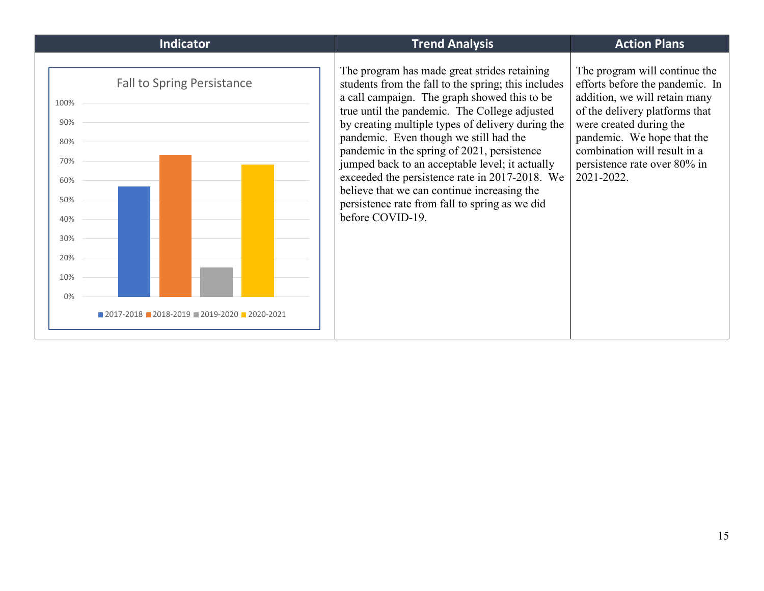| <b>Indicator</b>                                                                                                                                                                                                      | <b>Trend Analysis</b>                                                                                                                                                                                                                                                                                                                                                                                                                                                                                                                                                        | <b>Action Plans</b>                                                                                                                                                                                                                                                        |
|-----------------------------------------------------------------------------------------------------------------------------------------------------------------------------------------------------------------------|------------------------------------------------------------------------------------------------------------------------------------------------------------------------------------------------------------------------------------------------------------------------------------------------------------------------------------------------------------------------------------------------------------------------------------------------------------------------------------------------------------------------------------------------------------------------------|----------------------------------------------------------------------------------------------------------------------------------------------------------------------------------------------------------------------------------------------------------------------------|
| <b>Fall to Spring Persistance</b><br>100%<br>90%<br>80%<br>70%<br>60%<br>50%<br>40%<br>30%<br>20%<br>10%<br>0%<br>$\blacksquare$ 2017-2018 $\blacksquare$ 2018-2019 $\blacksquare$ 2019-2020 $\blacksquare$ 2020-2021 | The program has made great strides retaining<br>students from the fall to the spring; this includes<br>a call campaign. The graph showed this to be<br>true until the pandemic. The College adjusted<br>by creating multiple types of delivery during the<br>pandemic. Even though we still had the<br>pandemic in the spring of 2021, persistence<br>jumped back to an acceptable level; it actually<br>exceeded the persistence rate in 2017-2018. We<br>believe that we can continue increasing the<br>persistence rate from fall to spring as we did<br>before COVID-19. | The program will continue the<br>efforts before the pandemic. In<br>addition, we will retain many<br>of the delivery platforms that<br>were created during the<br>pandemic. We hope that the<br>combination will result in a<br>persistence rate over 80% in<br>2021-2022. |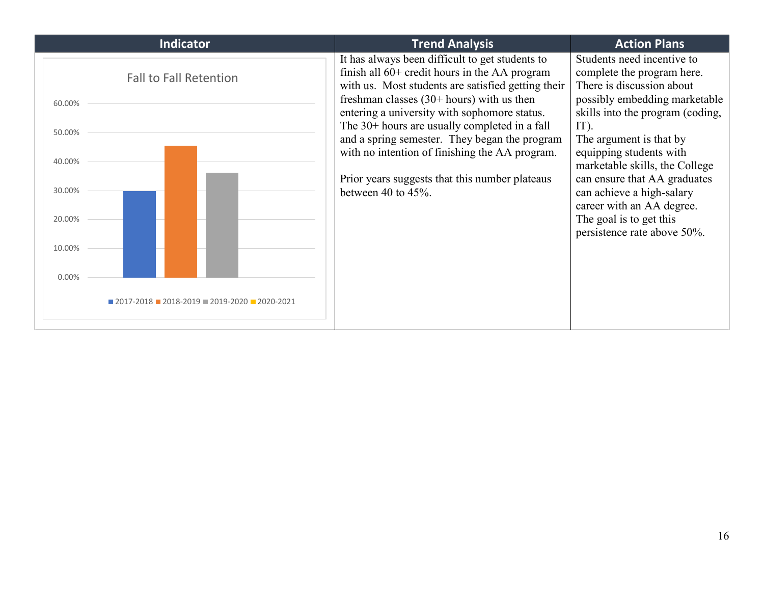| <b>Indicator</b>                                                                                             | <b>Trend Analysis</b>                                                                                                                                                                                                                                                                                                                                                                                                                                                               | <b>Action Plans</b>                                                                                                                                                                                                                                                                                                                                                                                               |
|--------------------------------------------------------------------------------------------------------------|-------------------------------------------------------------------------------------------------------------------------------------------------------------------------------------------------------------------------------------------------------------------------------------------------------------------------------------------------------------------------------------------------------------------------------------------------------------------------------------|-------------------------------------------------------------------------------------------------------------------------------------------------------------------------------------------------------------------------------------------------------------------------------------------------------------------------------------------------------------------------------------------------------------------|
| <b>Fall to Fall Retention</b><br>60.00%<br>50.00%<br>40.00%<br>30.00%<br>20.00%                              | It has always been difficult to get students to<br>finish all $60+$ credit hours in the AA program<br>with us. Most students are satisfied getting their<br>freshman classes $(30+ hours)$ with us then<br>entering a university with sophomore status.<br>The 30+ hours are usually completed in a fall<br>and a spring semester. They began the program<br>with no intention of finishing the AA program.<br>Prior years suggests that this number plateaus<br>between 40 to 45%. | Students need incentive to<br>complete the program here.<br>There is discussion about<br>possibly embedding marketable<br>skills into the program (coding,<br>$IT$ ).<br>The argument is that by<br>equipping students with<br>marketable skills, the College<br>can ensure that AA graduates<br>can achieve a high-salary<br>career with an AA degree.<br>The goal is to get this<br>persistence rate above 50%. |
| 10.00%                                                                                                       |                                                                                                                                                                                                                                                                                                                                                                                                                                                                                     |                                                                                                                                                                                                                                                                                                                                                                                                                   |
| 0.00%<br>$\blacksquare$ 2017-2018 $\blacksquare$ 2018-2019 $\blacksquare$ 2019-2020 $\blacksquare$ 2020-2021 |                                                                                                                                                                                                                                                                                                                                                                                                                                                                                     |                                                                                                                                                                                                                                                                                                                                                                                                                   |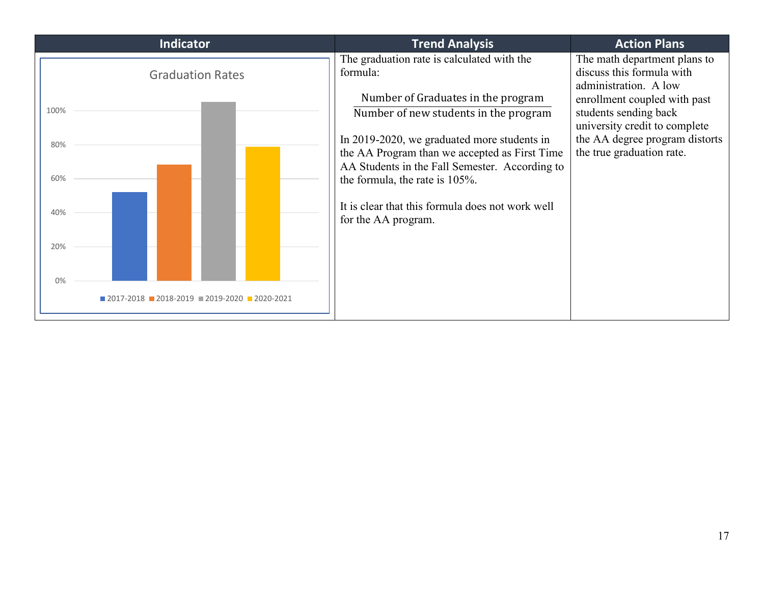